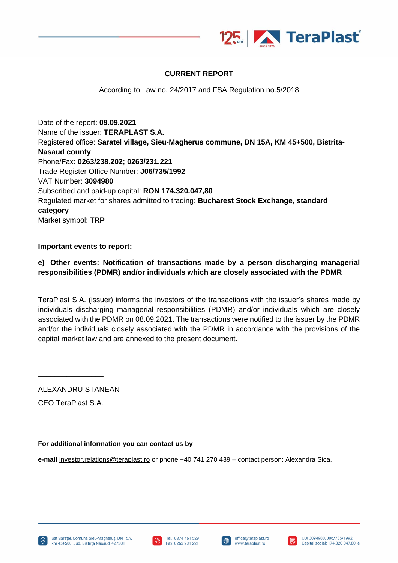

## **CURRENT REPORT**

According to Law no. 24/2017 and FSA Regulation no.5/2018

Date of the report: **09.09.2021** Name of the issuer: **TERAPLAST S.A.** Registered office: **Saratel village, Sieu-Magherus commune, DN 15A, KM 45+500, Bistrita-Nasaud county** Phone/Fax: **0263/238.202; 0263/231.221** Trade Register Office Number: **J06/735/1992** VAT Number: **3094980** Subscribed and paid-up capital: **RON 174.320.047,80** Regulated market for shares admitted to trading: **Bucharest Stock Exchange, standard category** Market symbol: **TRP**

## **Important events to report:**

## **e) Other events: Notification of transactions made by a person discharging managerial responsibilities (PDMR) and/or individuals which are closely associated with the PDMR**

TeraPlast S.A. (issuer) informs the investors of the transactions with the issuer's shares made by individuals discharging managerial responsibilities (PDMR) and/or individuals which are closely associated with the PDMR on 08.09.2021. The transactions were notified to the issuer by the PDMR and/or the individuals closely associated with the PDMR in accordance with the provisions of the capital market law and are annexed to the present document.

ALEXANDRU STANEAN

CEO TeraPlast S.A.

\_\_\_\_\_\_\_\_\_\_\_\_\_\_\_\_

## **For additional information you can contact us by**

**e-mail** [investor.relations@teraplast.ro](mailto:investor.relations@teraplast.ro) or phone +40 741 270 439 – contact person: Alexandra Sica.